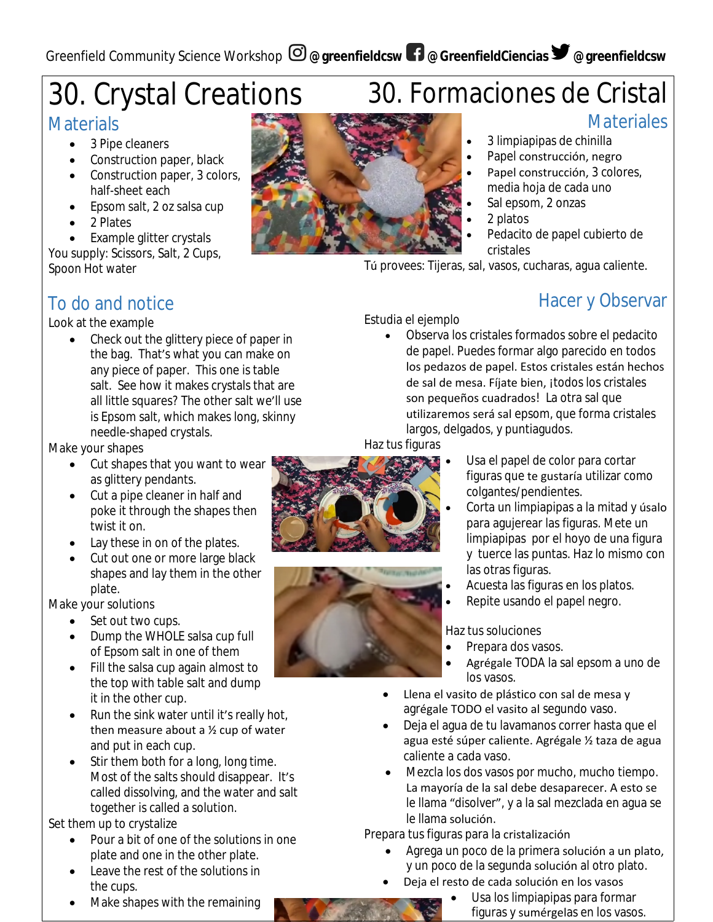# 30. Crystal Creations

## **Materials**

- 3 Pipe cleaners
- Construction paper, black
- Construction paper, 3 colors, half-sheet each
- Epsom salt, 2 oz salsa cup
- 2 Plates
- Example glitter crystals
- You supply: Scissors, Salt, 2 Cups, Spoon Hot water

## To do and notice

#### Look at the example

• Check out the glittery piece of paper in the bag. That's what you can make on any piece of paper. This one is table salt. See how it makes crystals that are all little squares? The other salt we'll use is Epsom salt, which makes long, skinny needle-shaped crystals.

Make your shapes

- Cut shapes that you want to wear as glittery pendants.
- Cut a pipe cleaner in half and poke it through the shapes then twist it on.
- Lay these in on of the plates.
- Cut out one or more large black shapes and lay them in the other plate.

Make your solutions

- Set out two cups.
- Dump the WHOLE salsa cup full of Epsom salt in one of them
- Fill the salsa cup again almost to the top with table salt and dump it in the other cup.
- Run the sink water until it's really hot, then measure about a  $\frac{1}{2}$  cup of water and put in each cup.
- Stir them both for a long, long time. Most of the salts should disappear. It's called dissolving, and the water and salt together is called a solution.

Set them up to crystalize

- Pour a bit of one of the solutions in one plate and one in the other plate.
- Leave the rest of the solutions in the cups.
- Make shapes with the remaining



- Papel construcción, negro
- Papel construcción, 3 colores, media hoja de cada uno
- Sal epsom, 2 onzas
- 2 platos
- Pedacito de papel cubierto de cristales

Tú provees: Tijeras, sal, vasos, cucharas, agua caliente.

## Hacer y Observar

**Materiales** 

Estudia el ejemplo Observa los cristales formados sobre el pedacito

de papel. Puedes formar algo parecido en todos los pedazos de papel. Estos cristales están hechos de sal de mesa. Fíjate bien, ¡todos los cristales son pequeños cuadrados! La otra sal que utilizaremos será sal epsom, que forma cristales largos, delgados, y puntiagudos.

Haz tus figuras





- Usa el papel de color para cortar figuras que te gustaría utilizar como colgantes/pendientes.
- Corta un limpiapipas a la mitad y úsalo para agujerear las figuras. Mete un limpiapipas por el hoyo de una figura y tuerce las puntas. Haz lo mismo con las otras figuras.
- Acuesta las figuras en los platos.
- Repite usando el papel negro.

Haz tus soluciones

- Prepara dos vasos.
- Agrégale TODA la sal epsom a uno de los vasos.
- Llena el vasito de plástico con sal de mesa y agrégale TODO el vasito al segundo vaso.
- Deja el agua de tu lavamanos correr hasta que el agua esté súper caliente. Agrégale ½ taza de agua caliente a cada vaso.
- Mezcla los dos vasos por mucho, mucho tiempo. La mayoría de la sal debe desaparecer. A esto se le llama "disolver", y a la sal mezclada en agua se le llama solución.

Prepara tus figuras para la cristalización

- Agrega un poco de la primera solución a un plato, y un poco de la segunda solución al otro plato.
	- Deja el resto de cada solución en los vasos
		- Usa los limpiapipas para formar figuras y sumérgelas en los vasos.